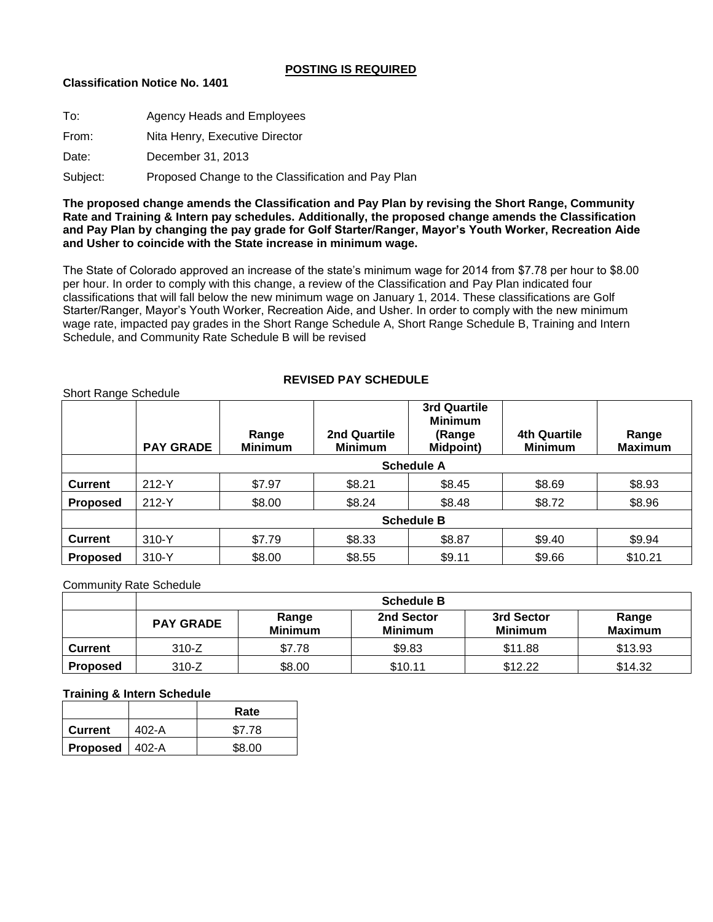## **POSTING IS REQUIRED**

## **Classification Notice No. 1401**

| To:      | <b>Agency Heads and Employees</b>                  |
|----------|----------------------------------------------------|
| From:    | Nita Henry, Executive Director                     |
| Date:    | December 31, 2013                                  |
| Subject: | Proposed Change to the Classification and Pay Plan |

**The proposed change amends the Classification and Pay Plan by revising the Short Range, Community Rate and Training & Intern pay schedules. Additionally, the proposed change amends the Classification and Pay Plan by changing the pay grade for Golf Starter/Ranger, Mayor's Youth Worker, Recreation Aide and Usher to coincide with the State increase in minimum wage.**

The State of Colorado approved an increase of the state's minimum wage for 2014 from \$7.78 per hour to \$8.00 per hour. In order to comply with this change, a review of the Classification and Pay Plan indicated four classifications that will fall below the new minimum wage on January 1, 2014. These classifications are Golf Starter/Ranger, Mayor's Youth Worker, Recreation Aide, and Usher. In order to comply with the new minimum wage rate, impacted pay grades in the Short Range Schedule A, Short Range Schedule B, Training and Intern Schedule, and Community Rate Schedule B will be revised

# **REVISED PAY SCHEDULE**

|                 | <b>PAY GRADE</b>  | Range<br><b>Minimum</b> | 2nd Quartile<br><b>Minimum</b> | 3rd Quartile<br><b>Minimum</b><br>(Range<br><b>Midpoint)</b> | <b>4th Quartile</b><br><b>Minimum</b> | Range<br><b>Maximum</b> |
|-----------------|-------------------|-------------------------|--------------------------------|--------------------------------------------------------------|---------------------------------------|-------------------------|
|                 | <b>Schedule A</b> |                         |                                |                                                              |                                       |                         |
| <b>Current</b>  | $212-Y$           | \$7.97                  | \$8.21                         | \$8.45                                                       | \$8.69                                | \$8.93                  |
| <b>Proposed</b> | 212-Y             | \$8.00                  | \$8.24                         | \$8.48                                                       | \$8.72                                | \$8.96                  |
|                 | <b>Schedule B</b> |                         |                                |                                                              |                                       |                         |
| <b>Current</b>  | $310-Y$           | \$7.79                  | \$8.33                         | \$8.87                                                       | \$9.40                                | \$9.94                  |
| <b>Proposed</b> | 310-Y             | \$8.00                  | \$8.55                         | \$9.11                                                       | \$9.66                                | \$10.21                 |

Community Rate Schedule

Short Range Schedule

|                 | <b>Schedule B</b> |                         |                              |                              |                         |  |
|-----------------|-------------------|-------------------------|------------------------------|------------------------------|-------------------------|--|
|                 | <b>PAY GRADE</b>  | Range<br><b>Minimum</b> | 2nd Sector<br><b>Minimum</b> | 3rd Sector<br><b>Minimum</b> | Range<br><b>Maximum</b> |  |
| Current         | $310-Z$           | \$7.78                  | \$9.83                       | \$11.88                      | \$13.93                 |  |
| <b>Proposed</b> | $310-Z$           | \$8.00                  | \$10.11                      | \$12.22                      | \$14.32                 |  |

### **Training & Intern Schedule**

|                  |       | Rate   |
|------------------|-------|--------|
| Current          | 402-A | \$7.78 |
| Proposed   402-A |       | \$8.00 |